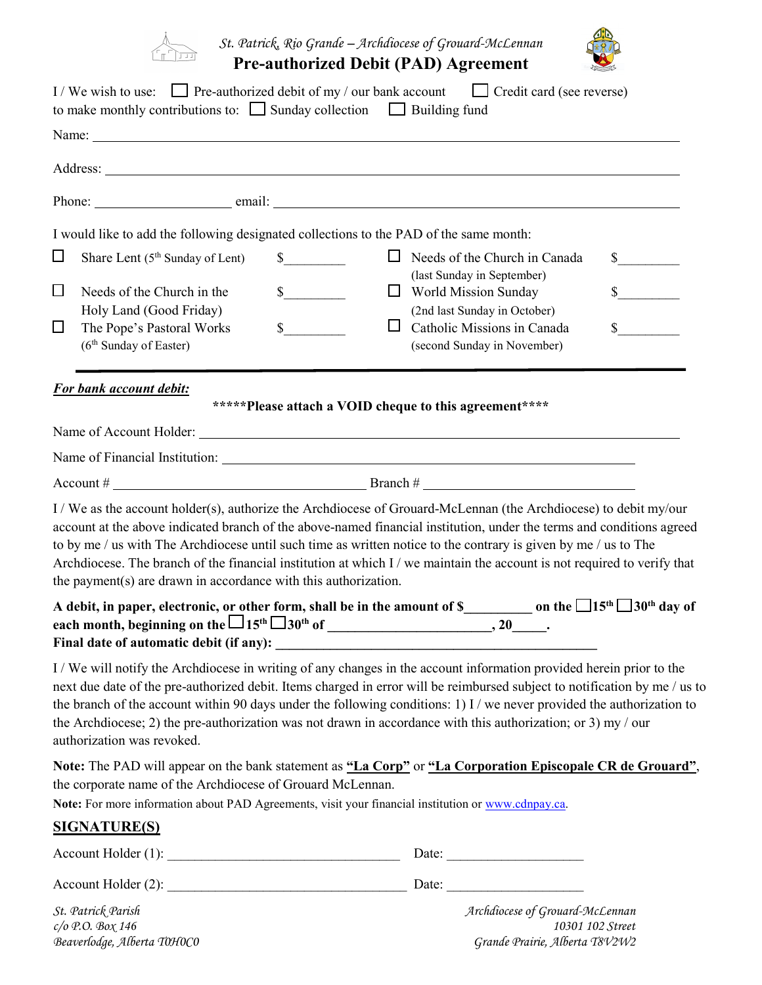

*St. Patrick, Rio Grande – Archdiocese of Grouard-McLennan* **Pre-authorized Debit (PAD) Agreement** 



| to make monthly contributions to: $\Box$ Sunday collection $\Box$ Building fund                                                                                   |                                                        | I/We wish to use: $\Box$ Pre-authorized debit of my / our bank account $\Box$ Credit card (see reverse)                                                                                                                                                                                                                                                                                                                                                                                     |                             |
|-------------------------------------------------------------------------------------------------------------------------------------------------------------------|--------------------------------------------------------|---------------------------------------------------------------------------------------------------------------------------------------------------------------------------------------------------------------------------------------------------------------------------------------------------------------------------------------------------------------------------------------------------------------------------------------------------------------------------------------------|-----------------------------|
|                                                                                                                                                                   |                                                        |                                                                                                                                                                                                                                                                                                                                                                                                                                                                                             |                             |
|                                                                                                                                                                   |                                                        |                                                                                                                                                                                                                                                                                                                                                                                                                                                                                             |                             |
|                                                                                                                                                                   |                                                        |                                                                                                                                                                                                                                                                                                                                                                                                                                                                                             |                             |
| I would like to add the following designated collections to the PAD of the same month:                                                                            |                                                        |                                                                                                                                                                                                                                                                                                                                                                                                                                                                                             |                             |
| ⊔<br>Share Lent (5 <sup>th</sup> Sunday of Lent)                                                                                                                  | $\mathbb{S}$                                           | $\Box$ Needs of the Church in Canada<br>(last Sunday in September)                                                                                                                                                                                                                                                                                                                                                                                                                          | $\frac{\text{S}}{\text{S}}$ |
| $\Box$<br>Needs of the Church in the<br>Holy Land (Good Friday)                                                                                                   | $\frac{\text{S}}{\text{S}}$                            | $\Box$ World Mission Sunday<br>(2nd last Sunday in October)                                                                                                                                                                                                                                                                                                                                                                                                                                 | $\frac{1}{2}$               |
| The Pope's Pastoral Works<br>⊔<br>(6 <sup>th</sup> Sunday of Easter)                                                                                              | s<br>ш                                                 | Catholic Missions in Canada<br>(second Sunday in November)                                                                                                                                                                                                                                                                                                                                                                                                                                  | $\mathbb{S}$                |
| <b>For bank account debit:</b>                                                                                                                                    |                                                        |                                                                                                                                                                                                                                                                                                                                                                                                                                                                                             |                             |
|                                                                                                                                                                   | *****Please attach a VOID cheque to this agreement**** |                                                                                                                                                                                                                                                                                                                                                                                                                                                                                             |                             |
|                                                                                                                                                                   |                                                        |                                                                                                                                                                                                                                                                                                                                                                                                                                                                                             |                             |
|                                                                                                                                                                   |                                                        |                                                                                                                                                                                                                                                                                                                                                                                                                                                                                             |                             |
| the payment(s) are drawn in accordance with this authorization.                                                                                                   |                                                        | I / We as the account holder(s), authorize the Archdiocese of Grouard-McLennan (the Archdiocese) to debit my/our<br>account at the above indicated branch of the above-named financial institution, under the terms and conditions agreed<br>to by me / us with The Archdiocese until such time as written notice to the contrary is given by me / us to The<br>Archdiocese. The branch of the financial institution at which I / we maintain the account is not required to verify that    |                             |
|                                                                                                                                                                   |                                                        | A debit, in paper, electronic, o <u>r o</u> ther form, shall be in the amount of <b>\$_______________________</b> on the $\Box$ 15 <sup>th</sup> $\Box$ 30 <sup>th</sup> day of                                                                                                                                                                                                                                                                                                             |                             |
| authorization was revoked.                                                                                                                                        |                                                        | I/We will notify the Archdiocese in writing of any changes in the account information provided herein prior to the<br>next due date of the pre-authorized debit. Items charged in error will be reimbursed subject to notification by me / us to<br>the branch of the account within 90 days under the following conditions: 1) I / we never provided the authorization to<br>the Archdiocese; 2) the pre-authorization was not drawn in accordance with this authorization; or 3) my / our |                             |
| the corporate name of the Archdiocese of Grouard McLennan.<br>Note: For more information about PAD Agreements, visit your financial institution or www.cdnpay.ca. |                                                        | Note: The PAD will appear on the bank statement as "La Corp" or "La Corporation Episcopale CR de Grouard",                                                                                                                                                                                                                                                                                                                                                                                  |                             |
| <b>SIGNATURE(S)</b>                                                                                                                                               |                                                        |                                                                                                                                                                                                                                                                                                                                                                                                                                                                                             |                             |
|                                                                                                                                                                   |                                                        |                                                                                                                                                                                                                                                                                                                                                                                                                                                                                             |                             |
|                                                                                                                                                                   |                                                        |                                                                                                                                                                                                                                                                                                                                                                                                                                                                                             |                             |
| St. Patrick Parish                                                                                                                                                |                                                        | Archdiocese of Grouard-McLennan                                                                                                                                                                                                                                                                                                                                                                                                                                                             |                             |

*c/o P.O. Box 146*<br>*c/o P.O. Box 146 10301 102 Street*<br>Beaverlodge, Alberta T0H0C0 *Grande Prairie, Alberta T8V2W2 Beaverlodge, Alberta T0H0C0 Grande Prairie, Alberta T8V2W2*